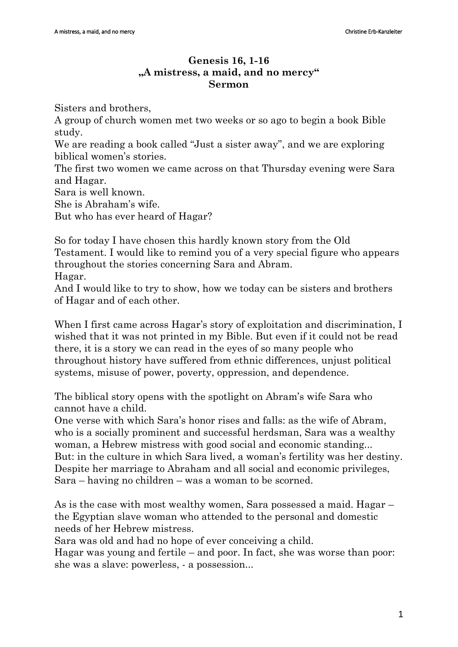## **Genesis 16, 1-16 "A mistress, a maid, and no mercy" Sermon**

Sisters and brothers,

A group of church women met two weeks or so ago to begin a book Bible study.

We are reading a book called "Just a sister away", and we are exploring biblical women's stories.

The first two women we came across on that Thursday evening were Sara and Hagar.

Sara is well known.

She is Abraham's wife.

But who has ever heard of Hagar?

So for today I have chosen this hardly known story from the Old Testament. I would like to remind you of a very special figure who appears throughout the stories concerning Sara and Abram.

Hagar.

And I would like to try to show, how we today can be sisters and brothers of Hagar and of each other.

When I first came across Hagar's story of exploitation and discrimination, I wished that it was not printed in my Bible. But even if it could not be read there, it is a story we can read in the eyes of so many people who throughout history have suffered from ethnic differences, unjust political systems, misuse of power, poverty, oppression, and dependence.

The biblical story opens with the spotlight on Abram's wife Sara who cannot have a child.

One verse with which Sara's honor rises and falls: as the wife of Abram, who is a socially prominent and successful herdsman, Sara was a wealthy woman, a Hebrew mistress with good social and economic standing... But: in the culture in which Sara lived, a woman's fertility was her destiny. Despite her marriage to Abraham and all social and economic privileges, Sara – having no children – was a woman to be scorned.

As is the case with most wealthy women, Sara possessed a maid. Hagar – the Egyptian slave woman who attended to the personal and domestic needs of her Hebrew mistress.

Sara was old and had no hope of ever conceiving a child.

Hagar was young and fertile – and poor. In fact, she was worse than poor: she was a slave: powerless, - a possession...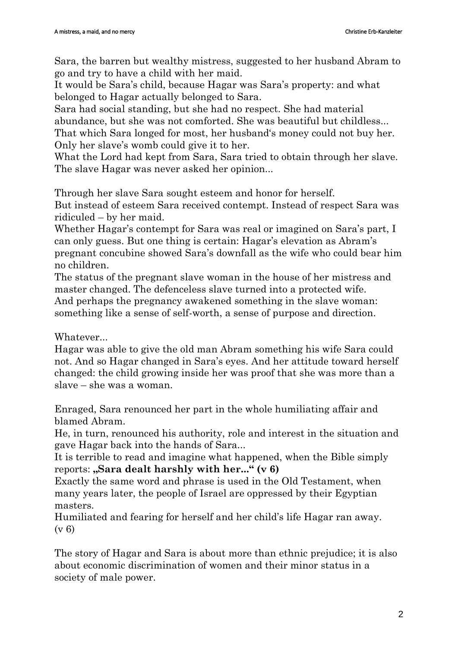Sara, the barren but wealthy mistress, suggested to her husband Abram to go and try to have a child with her maid.

It would be Sara's child, because Hagar was Sara's property: and what belonged to Hagar actually belonged to Sara.

Sara had social standing, but she had no respect. She had material abundance, but she was not comforted. She was beautiful but childless... That which Sara longed for most, her husband's money could not buy her. Only her slave's womb could give it to her.

What the Lord had kept from Sara, Sara tried to obtain through her slave. The slave Hagar was never asked her opinion...

Through her slave Sara sought esteem and honor for herself.

But instead of esteem Sara received contempt. Instead of respect Sara was ridiculed – by her maid.

Whether Hagar's contempt for Sara was real or imagined on Sara's part, I can only guess. But one thing is certain: Hagar's elevation as Abram's pregnant concubine showed Sara's downfall as the wife who could bear him no children.

The status of the pregnant slave woman in the house of her mistress and master changed. The defenceless slave turned into a protected wife. And perhaps the pregnancy awakened something in the slave woman: something like a sense of self-worth, a sense of purpose and direction.

Whatever...

Hagar was able to give the old man Abram something his wife Sara could not. And so Hagar changed in Sara's eyes. And her attitude toward herself changed: the child growing inside her was proof that she was more than a slave – she was a woman.

Enraged, Sara renounced her part in the whole humiliating affair and blamed Abram.

He, in turn, renounced his authority, role and interest in the situation and gave Hagar back into the hands of Sara...

It is terrible to read and imagine what happened, when the Bible simply reports: **"Sara dealt harshly with her..."** (v 6)

Exactly the same word and phrase is used in the Old Testament, when many years later, the people of Israel are oppressed by their Egyptian masters.

Humiliated and fearing for herself and her child's life Hagar ran away. (v 6)

The story of Hagar and Sara is about more than ethnic prejudice; it is also about economic discrimination of women and their minor status in a society of male power.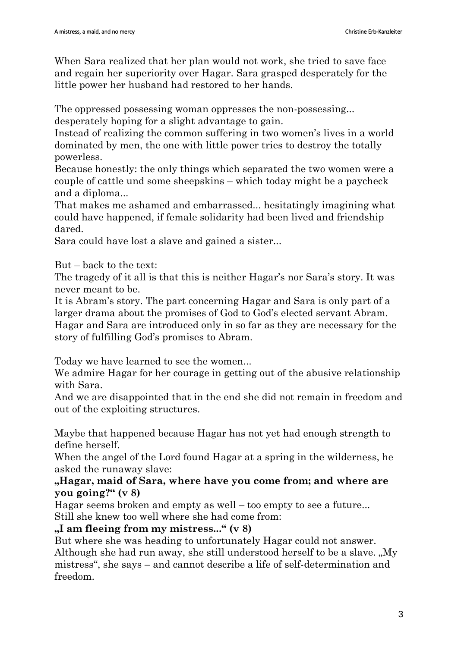When Sara realized that her plan would not work, she tried to save face and regain her superiority over Hagar. Sara grasped desperately for the little power her husband had restored to her hands.

The oppressed possessing woman oppresses the non-possessing...

desperately hoping for a slight advantage to gain.

Instead of realizing the common suffering in two women's lives in a world dominated by men, the one with little power tries to destroy the totally powerless.

Because honestly: the only things which separated the two women were a couple of cattle und some sheepskins – which today might be a paycheck and a diploma...

That makes me ashamed and embarrassed... hesitatingly imagining what could have happened, if female solidarity had been lived and friendship dared.

Sara could have lost a slave and gained a sister...

But – back to the text:

The tragedy of it all is that this is neither Hagar's nor Sara's story. It was never meant to be.

It is Abram's story. The part concerning Hagar and Sara is only part of a larger drama about the promises of God to God's elected servant Abram. Hagar and Sara are introduced only in so far as they are necessary for the story of fulfilling God's promises to Abram.

Today we have learned to see the women...

We admire Hagar for her courage in getting out of the abusive relationship with Sara.

And we are disappointed that in the end she did not remain in freedom and out of the exploiting structures.

Maybe that happened because Hagar has not yet had enough strength to define herself.

When the angel of the Lord found Hagar at a spring in the wilderness, he asked the runaway slave:

## **"Hagar, maid of Sara, where have you come from; and where are you going?" (v 8)**

Hagar seems broken and empty as well – too empty to see a future... Still she knew too well where she had come from:

## **"I am fleeing from my mistress..." (v 8)**

But where she was heading to unfortunately Hagar could not answer. Although she had run away, she still understood herself to be a slave. "My mistress", she says – and cannot describe a life of self-determination and freedom.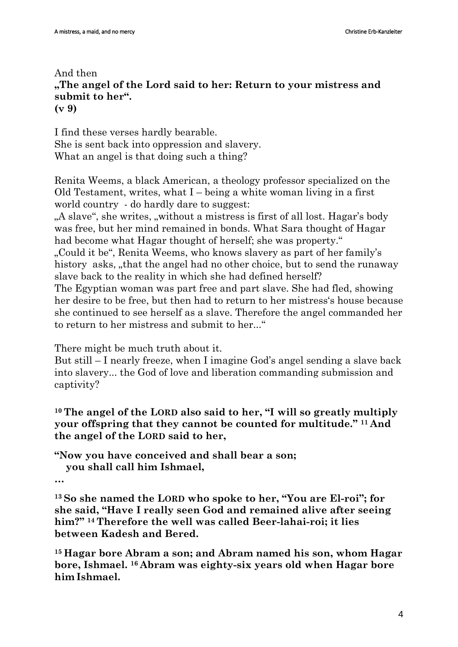## And then **"The angel of the Lord said to her: Return to your mistress and submit to her". (v 9)**

I find these verses hardly bearable. She is sent back into oppression and slavery. What an angel is that doing such a thing?

Renita Weems, a black American, a theology professor specialized on the Old Testament, writes, what  $I$  – being a white woman living in a first world country - do hardly dare to suggest:

"A slave", she writes, "without a mistress is first of all lost. Hagar's body" was free, but her mind remained in bonds. What Sara thought of Hagar had become what Hagar thought of herself; she was property."

".Could it be", Renita Weems, who knows slavery as part of her family's history asks, that the angel had no other choice, but to send the runaway slave back to the reality in which she had defined herself?

The Egyptian woman was part free and part slave. She had fled, showing her desire to be free, but then had to return to her mistress's house because she continued to see herself as a slave. Therefore the angel commanded her to return to her mistress and submit to her..."

There might be much truth about it.

But still – I nearly freeze, when I imagine God's angel sending a slave back into slavery... the God of love and liberation commanding submission and captivity?

**<sup>10</sup> The angel of the LORD also said to her, "I will so greatly multiply your offspring that they cannot be counted for multitude." <sup>11</sup> And the angel of the LORD said to her,**

**"Now you have conceived and shall bear a son;**

 **you shall call him Ishmael,**

**…**

**<sup>13</sup> So she named the LORD who spoke to her, "You are El-roi"; for she said, "Have I really seen God and remained alive after seeing him?" <sup>14</sup> Therefore the well was called Beer-lahai-roi; it lies between Kadesh and Bered.**

**<sup>15</sup> Hagar bore Abram a son; and Abram named his son, whom Hagar bore, Ishmael. <sup>16</sup> Abram was eighty-six years old when Hagar bore him Ishmael.**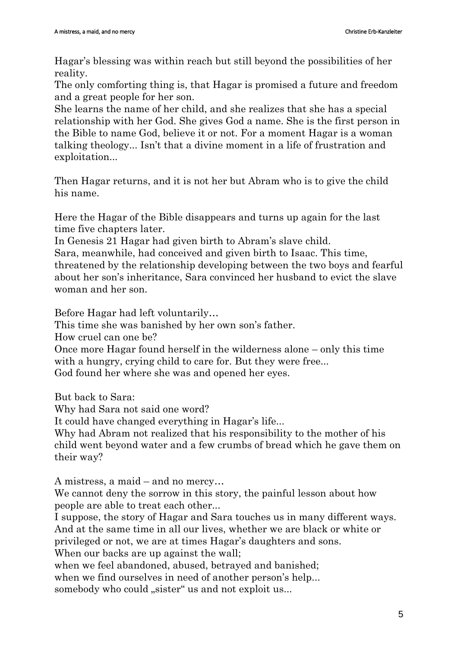Hagar's blessing was within reach but still beyond the possibilities of her reality.

The only comforting thing is, that Hagar is promised a future and freedom and a great people for her son.

She learns the name of her child, and she realizes that she has a special relationship with her God. She gives God a name. She is the first person in the Bible to name God, believe it or not. For a moment Hagar is a woman talking theology... Isn't that a divine moment in a life of frustration and exploitation...

Then Hagar returns, and it is not her but Abram who is to give the child his name.

Here the Hagar of the Bible disappears and turns up again for the last time five chapters later.

In Genesis 21 Hagar had given birth to Abram's slave child.

Sara, meanwhile, had conceived and given birth to Isaac. This time, threatened by the relationship developing between the two boys and fearful about her son's inheritance, Sara convinced her husband to evict the slave woman and her son.

Before Hagar had left voluntarily…

This time she was banished by her own son's father.

How cruel can one be?

Once more Hagar found herself in the wilderness alone – only this time with a hungry, crying child to care for. But they were free... God found her where she was and opened her eyes.

But back to Sara:

Why had Sara not said one word?

It could have changed everything in Hagar's life...

Why had Abram not realized that his responsibility to the mother of his child went beyond water and a few crumbs of bread which he gave them on their way?

A mistress, a maid – and no mercy…

We cannot deny the sorrow in this story, the painful lesson about how people are able to treat each other...

I suppose, the story of Hagar and Sara touches us in many different ways. And at the same time in all our lives, whether we are black or white or

privileged or not, we are at times Hagar's daughters and sons.

When our backs are up against the wall;

when we feel abandoned, abused, betrayed and banished;

when we find ourselves in need of another person's help...

somebody who could "sister" us and not exploit us...